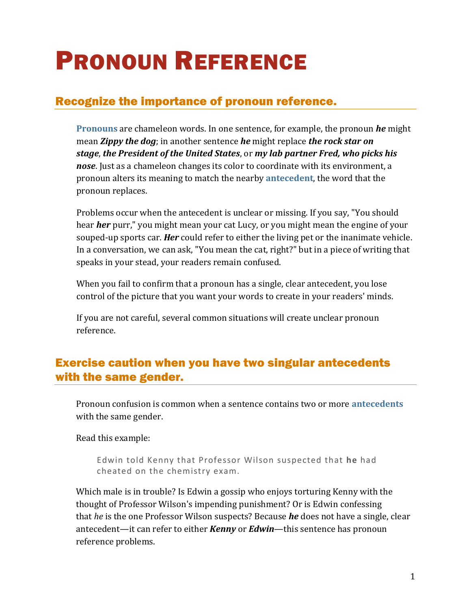# PRONOUN REFERENCE

# Recognize the importance of pronoun reference.

**[Pronouns](https://chompchomp.com/terms/pronoun.htm)** are chameleon words. In one sentence, for example, the pronoun *he* might mean *Zippy the dog*; in another sentence *he* might replace *the rock star on stage*, *the President of the United States*, or *my lab partner Fred, who picks his nose*. Just as a chameleon changes its color to coordinate with its environment, a pronoun alters its meaning to match the nearby **[antecedent](https://chompchomp.com/terms/antecedent.htm)**, the word that the pronoun replaces.

Problems occur when the antecedent is unclear or missing. If you say, "You should hear *her* purr," you might mean your cat Lucy, or you might mean the engine of your souped-up sports car. *Her* could refer to either the living pet or the inanimate vehicle. In a conversation, we can ask, "You mean the cat, right?" but in a piece of writing that speaks in your stead, your readers remain confused.

When you fail to confirm that a pronoun has a single, clear antecedent, you lose control of the picture that you want your words to create in your readers' minds.

If you are not careful, several common situations will create unclear pronoun reference.

# Exercise caution when you have two singular antecedents with the same gender.

Pronoun confusion is common when a sentence contains two or more **[antecedents](https://chompchomp.com/terms/antecedent.htm)** with the same gender.

Read this example:

Edwin told Kenny that Professor Wilson suspected that **he** had cheated on the chemistry exam.

Which male is in trouble? Is Edwin a gossip who enjoys torturing Kenny with the thought of Professor Wilson's impending punishment? Or is Edwin confessing that *he* is the one Professor Wilson suspects? Because *he* does not have a single, clear antecedent—it can refer to either *Kenny* or *Edwin*—this sentence has pronoun reference problems.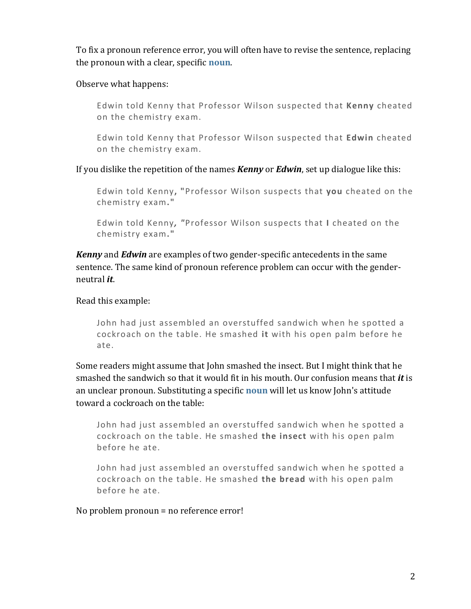To fix a pronoun reference error, you will often have to revise the sentence, replacing the pronoun with a clear, specific **[noun](https://chompchomp.com/terms/noun.htm)**.

Observe what happens:

Edwin told Kenny that Professor Wilson suspected that **Kenny** cheated on the chemistry exam.

Edwin told Kenny that Professor Wilson suspected that **Edwin** cheated on the chemistry exam.

If you dislike the repetition of the names *Kenny* or *Edwin*, set up dialogue like this:

Edwin told Kenny**, "**Professor Wilson suspects that **you** cheated on the chemistry exam**."**

Edwin told Kenny*, "*Professor Wilson suspects that **I** cheated on the chemistry exam**."**

*Kenny* and *Edwin* are examples of two gender-specific antecedents in the same sentence. The same kind of pronoun reference problem can occur with the genderneutral *it*.

Read this example:

John had just assembled an overstuffed sandwich when he spotted a cockroach on the table. He smashed **it** with his open palm before he ate.

Some readers might assume that John smashed the insect. But I might think that he smashed the sandwich so that it would fit in his mouth. Our confusion means that *it* is an unclear pronoun. Substituting a specific **[noun](https://chompchomp.com/terms/noun.htm)** will let us know John's attitude toward a cockroach on the table:

John had just assembled an overstuffed sandwich when he spotted a cockroach on the table. He smashed **the insect** with his open palm before he ate.

John had just assembled an overstuffed sandwich when he spotted a cockroach on the table. He smashed **the bread** with his open palm before he ate.

No problem pronoun = no reference error!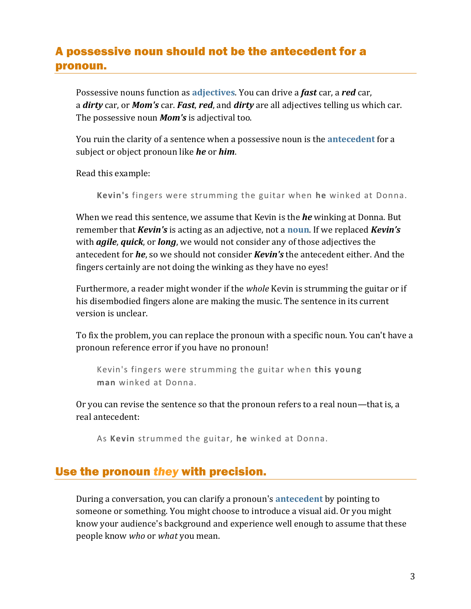# A possessive noun should not be the antecedent for a pronoun.

Possessive nouns function as **[adjectives](https://chompchomp.com/terms/adjective.htm)**. You can drive a *fast* car, a *red* car, a *dirty* car, or *Mom's* car. *Fast*, *red*, and *dirty* are all adjectives telling us which car. The possessive noun *Mom's* is adjectival too.

You ruin the clarity of a sentence when a possessive noun is the **[antecedent](https://chompchomp.com/terms/antecedent.htm)** for a subject or object pronoun like *he* or *him*.

Read this example:

**Kevin's** fingers were strumming the guitar when **he** winked at Donna.

When we read this sentence, we assume that Kevin is the *he* winking at Donna. But remember that *Kevin's* is acting as an adjective, not a **[noun](https://chompchomp.com/terms/noun.htm)**. If we replaced *Kevin's* with *agile*, *quick*, or *long*, we would not consider any of those adjectives the antecedent for *he*, so we should not consider *Kevin's* the antecedent either. And the fingers certainly are not doing the winking as they have no eyes!

Furthermore, a reader might wonder if the *whole* Kevin is strumming the guitar or if his disembodied fingers alone are making the music. The sentence in its current version is unclear.

To fix the problem, you can replace the pronoun with a specific noun. You can't have a pronoun reference error if you have no pronoun!

Kevin's fingers were strumming the guitar when **this young man** winked at Donna.

Or you can revise the sentence so that the pronoun refers to a real noun—that is, a real antecedent:

As **Kevin** strummed the guitar, **he** winked at Donna.

## Use the pronoun *they* with precision.

During a conversation, you can clarify a pronoun's **[antecedent](https://chompchomp.com/terms/antecedent.htm)** by pointing to someone or something. You might choose to introduce a visual aid. Or you might know your audience's background and experience well enough to assume that these people know *who* or *what* you mean.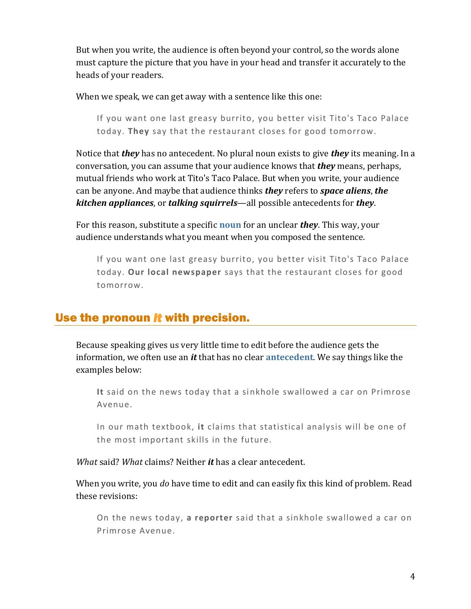But when you write, the audience is often beyond your control, so the words alone must capture the picture that you have in your head and transfer it accurately to the heads of your readers.

When we speak, we can get away with a sentence like this one:

If you want one last greasy burrito, you better visit Tito's Taco Palace today. **They** say that the restaurant closes for good tomorrow.

Notice that *they* has no antecedent. No plural noun exists to give *they* its meaning. In a conversation, you can assume that your audience knows that *they* means, perhaps, mutual friends who work at Tito's Taco Palace. But when you write, your audience can be anyone. And maybe that audience thinks *they* refers to *space aliens*, *the kitchen appliances*, or *talking squirrels*—all possible antecedents for *they*.

For this reason, substitute a specific **[noun](https://chompchomp.com/terms/noun.htm)** for an unclear *they*. This way, your audience understands what you meant when you composed the sentence.

If you want one last greasy burrito, you better visit Tito's Taco Palace today. **Our local newspaper** says that the restaurant closes for good tomorrow.

## Use the pronoun *it* with precision.

Because speaking gives us very little time to edit before the audience gets the information, we often use an *it* that has no clear **[antecedent](https://chompchomp.com/terms/antecedent.htm)**. We say things like the examples below:

**It** said on the news today that a sinkhole swallowed a car on Primrose Avenue.

In our math textbook, **it** claims that statistical analysis will be one of the most important skills in the future.

*What* said? *What* claims? Neither *it* has a clear antecedent.

When you write, you *do* have time to edit and can easily fix this kind of problem. Read these revisions:

On the news today, **a reporter** said that a sinkhole swallowed a car on Primrose Avenue.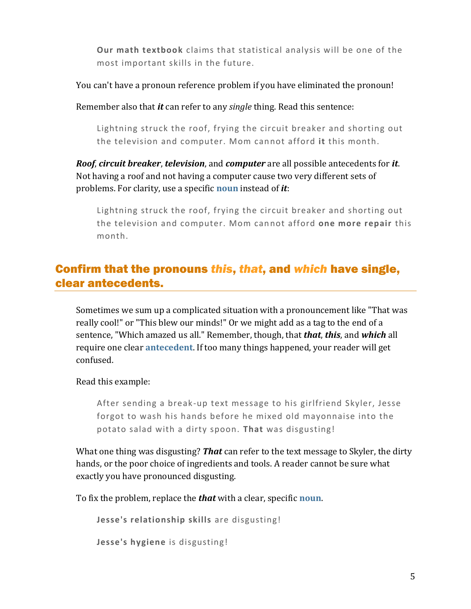**Our math textbook** claims that statistical analysis will be one of the most important skills in the future.

You can't have a pronoun reference problem if you have eliminated the pronoun!

Remember also that *it* can refer to any *single* thing. Read this sentence:

Lightning struck the roof, frying the circuit breaker and shorting out the television and computer. Mom cannot afford **it** this month.

*Roof*, *circuit breaker*, *television*, and *computer* are all possible antecedents for *it*. Not having a roof and not having a computer cause two very different sets of problems. For clarity, use a specific **[noun](https://chompchomp.com/terms/noun.htm)** instead of *it*:

Lightning struck the roof, frying the circuit breaker and shorting out the television and computer. Mom cannot afford **one more repair** this month.

# Confirm that the pronouns *this*, *that*, and *which* have single, clear antecedents.

Sometimes we sum up a complicated situation with a pronouncement like "That was really cool!" or "This blew our minds!" Or we might add as a tag to the end of a sentence, "Which amazed us all." Remember, though, that *that*, *this*, and *which* all require one clear **[antecedent](https://chompchomp.com/terms/antecedent.htm)**. If too many things happened, your reader will get confused.

Read this example:

After sending a break-up text message to his girlfriend Skyler, Jesse forgot to wash his hands before he mixed old mayonnaise into the potato salad with a dirty spoon. **That** was disgusting!

What one thing was disgusting? *That* can refer to the text message to Skyler, the dirty hands, or the poor choice of ingredients and tools. A reader cannot be sure what exactly you have pronounced disgusting.

To fix the problem, replace the *that* with a clear, specific **[noun](https://chompchomp.com/terms/noun.htm)**.

**Jesse's relationship skills** are disgusting! **Jesse's hygiene** is disgusting!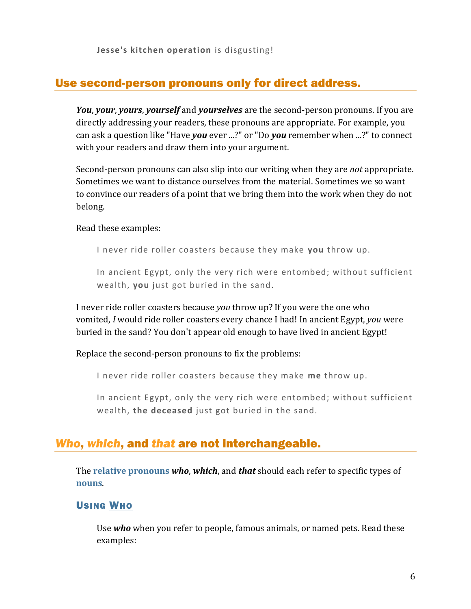**Jesse's kitchen operation** is disgusting!

## Use second-person pronouns only for direct address.

*You*, *your*, *yours*, *yourself* and *yourselves* are the second-person pronouns. If you are directly addressing your readers, these pronouns are appropriate. For example, you can ask a question like "Have *you* ever ...?" or "Do *you* remember when ...?" to connect with your readers and draw them into your argument.

Second-person pronouns can also slip into our writing when they are *not* appropriate. Sometimes we want to distance ourselves from the material. Sometimes we so want to convince our readers of a point that we bring them into the work when they do not belong.

Read these examples:

I never ride roller coasters because they make **you** throw up.

In ancient Egypt, only the very rich were entombed; without sufficient wealth, **you** just got buried in the sand.

I never ride roller coasters because *you* throw up? If you were the one who vomited, *I* would ride roller coasters every chance I had! In ancient Egypt, *you* were buried in the sand? You don't appear old enough to have lived in ancient Egypt!

Replace the second-person pronouns to fix the problems:

I never ride roller coasters because they make **me** throw up.

In ancient Egypt, only the very rich were entombed; without sufficient wealth, **the deceased** just got buried in the sand.

## *Who*, *which*, and *that* are not interchangeable.

The **[relative pronouns](https://chompchomp.com/terms/relativepronoun.htm)** *who*, *which*, and *that* should each refer to specific types of **[nouns](https://chompchomp.com/terms/noun.htm)**.

#### USING WHO

Use *who* when you refer to people, famous animals, or named pets. Read these examples: